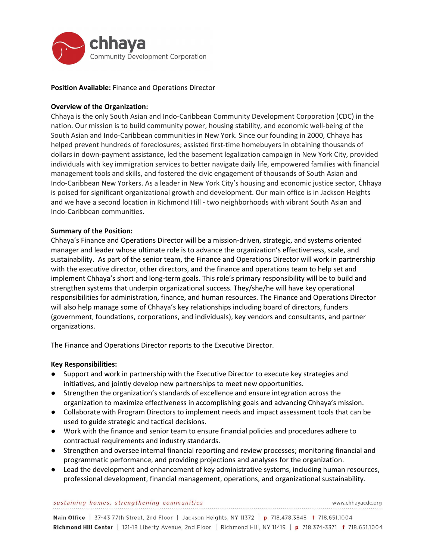

# **Position Available:** Finance and Operations Director

# **Overview of the Organization:**

Chhaya is the only South Asian and Indo-Caribbean Community Development Corporation (CDC) in the nation. Our mission is to build community power, housing stability, and economic well-being of the South Asian and Indo-Caribbean communities in New York. Since our founding in 2000, Chhaya has helped prevent hundreds of foreclosures; assisted first-time homebuyers in obtaining thousands of dollars in down-payment assistance, led the basement legalization campaign in New York City, provided individuals with key immigration services to better navigate daily life, empowered families with financial management tools and skills, and fostered the civic engagement of thousands of South Asian and Indo-Caribbean New Yorkers. As a leader in New York City's housing and economic justice sector, Chhaya is poised for significant organizational growth and development. Our main office is in Jackson Heights and we have a second location in Richmond Hill - two neighborhoods with vibrant South Asian and Indo-Caribbean communities.

# **Summary of the Position:**

Chhaya's Finance and Operations Director will be a mission-driven, strategic, and systems oriented manager and leader whose ultimate role is to advance the organization's effectiveness, scale, and sustainability. As part of the senior team, the Finance and Operations Director will work in partnership with the executive director, other directors, and the finance and operations team to help set and implement Chhaya's short and long-term goals. This role's primary responsibility will be to build and strengthen systems that underpin organizational success. They/she/he will have key operational responsibilities for administration, finance, and human resources. The Finance and Operations Director will also help manage some of Chhaya's key relationships including board of directors, funders (government, foundations, corporations, and individuals), key vendors and consultants, and partner organizations.

The Finance and Operations Director reports to the Executive Director.

### **Key Responsibilities:**

- Support and work in partnership with the Executive Director to execute key strategies and initiatives, and jointly develop new partnerships to meet new opportunities.
- Strengthen the organization's standards of excellence and ensure integration across the organization to maximize effectiveness in accomplishing goals and advancing Chhaya's mission.
- Collaborate with Program Directors to implement needs and impact assessment tools that can be used to guide strategic and tactical decisions.
- Work with the finance and senior team to ensure financial policies and procedures adhere to contractual requirements and industry standards.
- Strengthen and oversee internal financial reporting and review processes; monitoring financial and programmatic performance, and providing projections and analyses for the organization.
- Lead the development and enhancement of key administrative systems, including human resources, professional development, financial management, operations, and organizational sustainability.

#### sustaining homes, strengthening communities

Main Office | 37-43 77th Street, 2nd Floor | Jackson Heights, NY 11372 | p 718.478.3848 f 718.651.1004 Richmond Hill Center | 121-18 Liberty Avenue, 2nd Floor | Richmond Hill, NY 11419 | p 718.374-3371 f 718.651.1004

www.chhavacdc.org